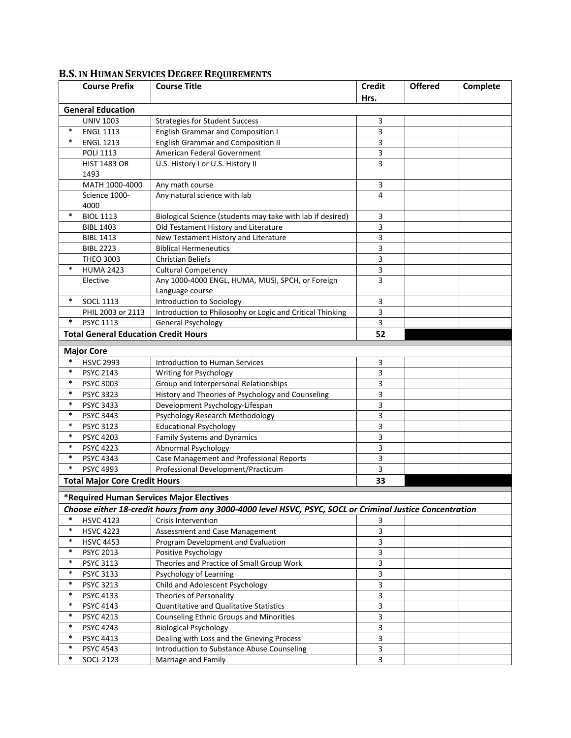|                          | <b>Course Prefix</b>                        | <b>Course Title</b>                                                                                       | <b>Credit</b>  | <b>Offered</b> | Complete |  |  |  |
|--------------------------|---------------------------------------------|-----------------------------------------------------------------------------------------------------------|----------------|----------------|----------|--|--|--|
|                          |                                             |                                                                                                           | Hrs.           |                |          |  |  |  |
| <b>General Education</b> |                                             |                                                                                                           |                |                |          |  |  |  |
|                          | <b>UNIV 1003</b>                            | <b>Strategies for Student Success</b>                                                                     | 3              |                |          |  |  |  |
| $\ast$                   | <b>ENGL 1113</b>                            | <b>English Grammar and Composition I</b>                                                                  | 3              |                |          |  |  |  |
| $\ast$                   | <b>ENGL 1213</b>                            | <b>English Grammar and Composition II</b>                                                                 | 3              |                |          |  |  |  |
|                          | <b>POLI 1113</b>                            | American Federal Government                                                                               | 3              |                |          |  |  |  |
|                          | <b>HIST 1483 OR</b>                         | U.S. History I or U.S. History II                                                                         | $\overline{3}$ |                |          |  |  |  |
|                          | 1493                                        |                                                                                                           |                |                |          |  |  |  |
|                          | MATH 1000-4000                              | Any math course                                                                                           | 3              |                |          |  |  |  |
|                          | Science 1000-<br>4000                       | Any natural science with lab                                                                              | 4              |                |          |  |  |  |
| ∗                        | <b>BIOL 1113</b>                            | Biological Science (students may take with lab if desired)                                                | 3              |                |          |  |  |  |
|                          | <b>BIBL 1403</b>                            | Old Testament History and Literature                                                                      | 3              |                |          |  |  |  |
|                          | <b>BIBL 1413</b>                            | New Testament History and Literature                                                                      | 3              |                |          |  |  |  |
|                          | <b>BIBL 2223</b>                            | <b>Biblical Hermeneutics</b>                                                                              | 3              |                |          |  |  |  |
|                          | <b>THEO 3003</b>                            | <b>Christian Beliefs</b>                                                                                  | 3              |                |          |  |  |  |
| $\ast$                   | <b>HUMA 2423</b>                            | <b>Cultural Competency</b>                                                                                | $\overline{3}$ |                |          |  |  |  |
|                          | Elective                                    | Any 1000-4000 ENGL, HUMA, MUSI, SPCH, or Foreign<br>Language course                                       | 3              |                |          |  |  |  |
| $\ast$                   | <b>SOCL 1113</b>                            | Introduction to Sociology                                                                                 | 3              |                |          |  |  |  |
|                          | PHIL 2003 or 2113                           | Introduction to Philosophy or Logic and Critical Thinking                                                 | 3              |                |          |  |  |  |
| *                        | PSYC 1113                                   | General Psychology                                                                                        | 3              |                |          |  |  |  |
|                          | <b>Total General Education Credit Hours</b> |                                                                                                           | 52             |                |          |  |  |  |
|                          |                                             |                                                                                                           |                |                |          |  |  |  |
|                          | <b>Major Core</b>                           |                                                                                                           |                |                |          |  |  |  |
| $\ast$                   | <b>HSVC 2993</b>                            | Introduction to Human Services                                                                            | 3              |                |          |  |  |  |
| *                        | <b>PSYC 2143</b>                            | Writing for Psychology                                                                                    | 3              |                |          |  |  |  |
| $\ast$                   | <b>PSYC 3003</b>                            | Group and Interpersonal Relationships                                                                     | 3              |                |          |  |  |  |
| $\ast$                   | <b>PSYC 3323</b>                            | History and Theories of Psychology and Counseling                                                         | 3              |                |          |  |  |  |
| $\ast$                   | PSYC 3433                                   | Development Psychology-Lifespan                                                                           | 3              |                |          |  |  |  |
| $\ast$                   | <b>PSYC 3443</b>                            | Psychology Research Methodology                                                                           | 3              |                |          |  |  |  |
| $\ast$<br>$\ast$         | <b>PSYC 3123</b>                            | <b>Educational Psychology</b>                                                                             | 3              |                |          |  |  |  |
| $\ast$                   | <b>PSYC 4203</b>                            | <b>Family Systems and Dynamics</b>                                                                        | 3              |                |          |  |  |  |
| $\ast$                   | <b>PSYC 4223</b>                            | Abnormal Psychology                                                                                       | 3              |                |          |  |  |  |
| $\ast$                   | PSYC 4343                                   | Case Management and Professional Reports                                                                  | 3              |                |          |  |  |  |
|                          | <b>PSYC 4993</b>                            | Professional Development/Practicum                                                                        | 3              |                |          |  |  |  |
|                          | <b>Total Major Core Credit Hours</b>        |                                                                                                           | 33             |                |          |  |  |  |
|                          |                                             | *Required Human Services Major Electives                                                                  |                |                |          |  |  |  |
|                          |                                             | Choose either 18-credit hours from any 3000-4000 level HSVC, PSYC, SOCL or Criminal Justice Concentration |                |                |          |  |  |  |
| $\ast$                   | <b>HSVC 4123</b>                            | <b>Crisis Intervention</b>                                                                                | 3              |                |          |  |  |  |
| $\ast$                   | <b>HSVC 4223</b>                            | Assessment and Case Management                                                                            | 3              |                |          |  |  |  |
| $\ast$                   | <b>HSVC 4453</b>                            | Program Development and Evaluation                                                                        | 3              |                |          |  |  |  |
| $\ast$                   | <b>PSYC 2013</b>                            | Positive Psychology                                                                                       | 3              |                |          |  |  |  |
| $\ast$                   | PSYC 3113                                   | Theories and Practice of Small Group Work                                                                 | 3              |                |          |  |  |  |
| $\ast$                   | <b>PSYC 3133</b>                            | Psychology of Learning                                                                                    | 3              |                |          |  |  |  |
| $\ast$                   | <b>PSYC 3213</b>                            | Child and Adolescent Psychology                                                                           | 3              |                |          |  |  |  |
| $\ast$                   | PSYC 4133                                   | Theories of Personality                                                                                   | $\overline{3}$ |                |          |  |  |  |
| $\ast$                   | PSYC 4143                                   | <b>Quantitative and Qualitative Statistics</b>                                                            | 3              |                |          |  |  |  |
| $\ast$                   | <b>PSYC 4213</b>                            | <b>Counseling Ethnic Groups and Minorities</b>                                                            | 3              |                |          |  |  |  |
| $\ast$                   | PSYC 4243                                   | <b>Biological Psychology</b>                                                                              | 3              |                |          |  |  |  |
| $\ast$                   | PSYC 4413                                   | Dealing with Loss and the Grieving Process                                                                | 3              |                |          |  |  |  |
| $\ast$                   | <b>PSYC 4543</b>                            | Introduction to Substance Abuse Counseling                                                                | 3              |                |          |  |  |  |
| *                        | <b>SOCL 2123</b>                            | Marriage and Family                                                                                       | 3              |                |          |  |  |  |

## **B.S. IN HUMAN SERVICES DEGREE REQUIREMENTS**